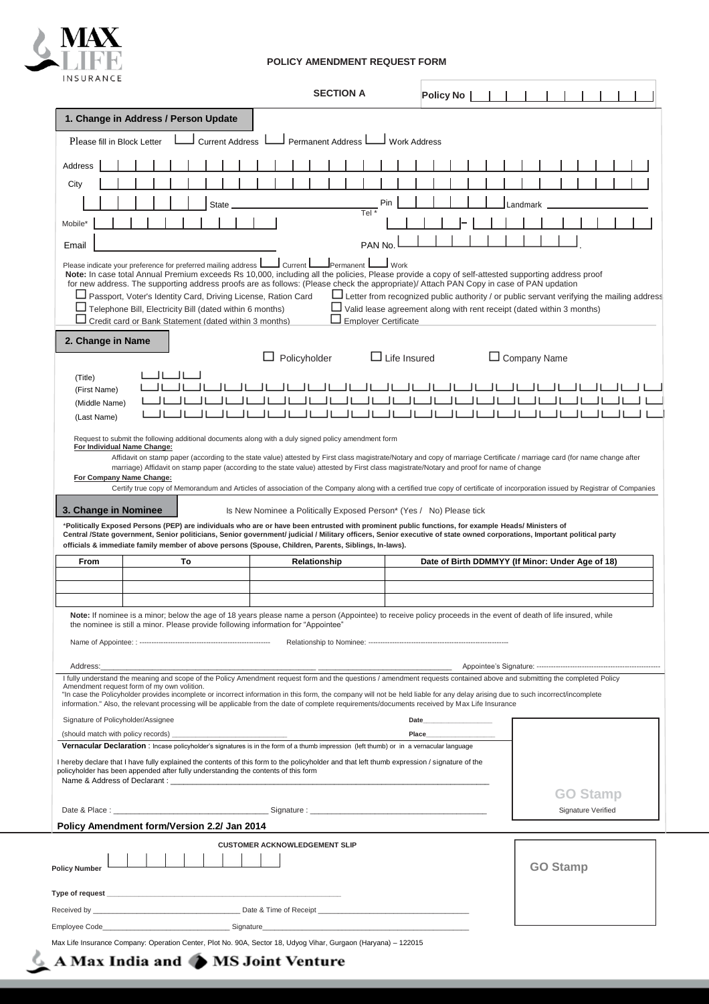

## **POLICY AMENDMENT REQUEST FORM**

|                                                                                                                                                                                                                                                                                                                                                                                                                                                                                                                                                             |                                                                                                                                                                              |                                                                                                                                          |                        |                                      |                                       |              | <b>SECTION A</b>         |                                                                                                                                                                                                          |                               |                     |       | <b>Policy No</b> |  |         |                                                  |                    |  |  |
|-------------------------------------------------------------------------------------------------------------------------------------------------------------------------------------------------------------------------------------------------------------------------------------------------------------------------------------------------------------------------------------------------------------------------------------------------------------------------------------------------------------------------------------------------------------|------------------------------------------------------------------------------------------------------------------------------------------------------------------------------|------------------------------------------------------------------------------------------------------------------------------------------|------------------------|--------------------------------------|---------------------------------------|--------------|--------------------------|----------------------------------------------------------------------------------------------------------------------------------------------------------------------------------------------------------|-------------------------------|---------------------|-------|------------------|--|---------|--------------------------------------------------|--------------------|--|--|
| 1. Change in Address / Person Update                                                                                                                                                                                                                                                                                                                                                                                                                                                                                                                        |                                                                                                                                                                              |                                                                                                                                          |                        |                                      |                                       |              |                          |                                                                                                                                                                                                          |                               |                     |       |                  |  |         |                                                  |                    |  |  |
| Please fill in Block Letter                                                                                                                                                                                                                                                                                                                                                                                                                                                                                                                                 |                                                                                                                                                                              |                                                                                                                                          | <b>Current Address</b> |                                      |                                       |              | <b>Permanent Address</b> |                                                                                                                                                                                                          |                               | <b>Work Address</b> |       |                  |  |         |                                                  |                    |  |  |
| Address                                                                                                                                                                                                                                                                                                                                                                                                                                                                                                                                                     |                                                                                                                                                                              |                                                                                                                                          |                        |                                      |                                       |              |                          |                                                                                                                                                                                                          |                               |                     |       |                  |  |         |                                                  |                    |  |  |
| City                                                                                                                                                                                                                                                                                                                                                                                                                                                                                                                                                        |                                                                                                                                                                              |                                                                                                                                          |                        |                                      |                                       |              |                          |                                                                                                                                                                                                          |                               |                     |       |                  |  |         |                                                  |                    |  |  |
|                                                                                                                                                                                                                                                                                                                                                                                                                                                                                                                                                             |                                                                                                                                                                              |                                                                                                                                          | <b>State</b>           |                                      |                                       |              |                          |                                                                                                                                                                                                          | Pin                           |                     |       |                  |  | andmark |                                                  |                    |  |  |
| Mobile*                                                                                                                                                                                                                                                                                                                                                                                                                                                                                                                                                     |                                                                                                                                                                              |                                                                                                                                          |                        |                                      |                                       |              |                          | Tel $*$                                                                                                                                                                                                  |                               |                     |       |                  |  |         |                                                  |                    |  |  |
| Email                                                                                                                                                                                                                                                                                                                                                                                                                                                                                                                                                       |                                                                                                                                                                              |                                                                                                                                          |                        |                                      |                                       |              |                          | PAN <sub>No</sub>                                                                                                                                                                                        |                               |                     |       |                  |  |         |                                                  |                    |  |  |
| Please indicate your preference for preferred mailing address L<br>Note: In case total Annual Premium exceeds Rs 10,000, including all the policies, Please provide a copy of self-attested supporting address proof<br>for new address. The supporting address proofs are as follows: (Please check the appropriate)/ Attach PAN Copy in case of PAN updation<br>Passport, Voter's Identity Card, Driving License, Ration Card<br>Credit card or Bank Statement (dated within 3 months)                                                                    | Telephone Bill, Electricity Bill (dated within 6 months)                                                                                                                     |                                                                                                                                          |                        |                                      | $\blacksquare$ Current $\blacksquare$ |              | Permanent                | Letter from recognized public authority / or public servant verifying the mailing address<br>$\Box$ Valid lease agreement along with rent receipt (dated within 3 months)<br>$\Box$ Emplover Certificate | $\overline{\phantom{a}}$ Work |                     |       |                  |  |         |                                                  |                    |  |  |
| 2. Change in Name                                                                                                                                                                                                                                                                                                                                                                                                                                                                                                                                           |                                                                                                                                                                              |                                                                                                                                          |                        |                                      |                                       |              |                          |                                                                                                                                                                                                          |                               |                     |       |                  |  |         |                                                  |                    |  |  |
|                                                                                                                                                                                                                                                                                                                                                                                                                                                                                                                                                             |                                                                                                                                                                              |                                                                                                                                          |                        |                                      | Policyholder                          |              |                          |                                                                                                                                                                                                          |                               | $\Box$ Life Insured |       |                  |  |         | $\Box$ Company Name                              |                    |  |  |
| (Title)<br>(First Name)                                                                                                                                                                                                                                                                                                                                                                                                                                                                                                                                     |                                                                                                                                                                              |                                                                                                                                          |                        |                                      |                                       |              |                          |                                                                                                                                                                                                          |                               |                     |       |                  |  |         |                                                  |                    |  |  |
| (Middle Name)                                                                                                                                                                                                                                                                                                                                                                                                                                                                                                                                               |                                                                                                                                                                              |                                                                                                                                          |                        |                                      |                                       |              |                          |                                                                                                                                                                                                          |                               |                     |       |                  |  |         |                                                  |                    |  |  |
| (Last Name)<br>Request to submit the following additional documents along with a duly signed policy amendment form                                                                                                                                                                                                                                                                                                                                                                                                                                          |                                                                                                                                                                              |                                                                                                                                          |                        |                                      |                                       |              |                          |                                                                                                                                                                                                          |                               |                     |       |                  |  |         |                                                  |                    |  |  |
| For Company Name Change:                                                                                                                                                                                                                                                                                                                                                                                                                                                                                                                                    |                                                                                                                                                                              | marriage) Affidavit on stamp paper (according to the state value) attested by First class magistrate/Notary and proof for name of change |                        |                                      |                                       |              |                          |                                                                                                                                                                                                          |                               |                     |       |                  |  |         |                                                  |                    |  |  |
| 3. Change in Nominee<br>*Politically Exposed Persons (PEP) are individuals who are or have been entrusted with prominent public functions, for example Heads/ Ministers of<br>Central /State government, Senior politicians, Senior government/ judicial / Military officers, Senior executive of state owned corporations, Important political party                                                                                                                                                                                                       | Certify true copy of Memorandum and Articles of association of the Company along with a certified true copy of certificate of incorporation issued by Registrar of Companies |                                                                                                                                          |                        |                                      |                                       |              |                          | Is New Nominee a Politically Exposed Person* (Yes / No) Please tick                                                                                                                                      |                               |                     |       |                  |  |         |                                                  |                    |  |  |
| officials & immediate family member of above persons (Spouse, Children, Parents, Siblings, In-laws).<br>From                                                                                                                                                                                                                                                                                                                                                                                                                                                |                                                                                                                                                                              | To                                                                                                                                       |                        |                                      |                                       | Relationship |                          |                                                                                                                                                                                                          |                               |                     |       |                  |  |         | Date of Birth DDMMYY (If Minor: Under Age of 18) |                    |  |  |
|                                                                                                                                                                                                                                                                                                                                                                                                                                                                                                                                                             |                                                                                                                                                                              |                                                                                                                                          |                        |                                      |                                       |              |                          |                                                                                                                                                                                                          |                               |                     |       |                  |  |         |                                                  |                    |  |  |
|                                                                                                                                                                                                                                                                                                                                                                                                                                                                                                                                                             |                                                                                                                                                                              |                                                                                                                                          |                        |                                      |                                       |              |                          |                                                                                                                                                                                                          |                               |                     |       |                  |  |         |                                                  |                    |  |  |
| Note: If nominee is a minor; below the age of 18 years please name a person (Appointee) to receive policy proceeds in the event of death of life insured, while<br>the nominee is still a minor. Please provide following information for "Appointee"                                                                                                                                                                                                                                                                                                       |                                                                                                                                                                              |                                                                                                                                          |                        |                                      |                                       |              |                          |                                                                                                                                                                                                          |                               |                     |       |                  |  |         |                                                  |                    |  |  |
|                                                                                                                                                                                                                                                                                                                                                                                                                                                                                                                                                             |                                                                                                                                                                              |                                                                                                                                          |                        |                                      |                                       |              |                          |                                                                                                                                                                                                          |                               |                     |       |                  |  |         |                                                  |                    |  |  |
| Address:                                                                                                                                                                                                                                                                                                                                                                                                                                                                                                                                                    |                                                                                                                                                                              |                                                                                                                                          |                        |                                      |                                       |              |                          |                                                                                                                                                                                                          |                               |                     |       |                  |  |         |                                                  |                    |  |  |
| I fully understand the meaning and scope of the Policy Amendment request form and the questions / amendment requests contained above and submitting the completed Policy<br>Amendment request form of my own volition.<br>"In case the Policyholder provides incomplete or incorrect information in this form, the company will not be held liable for any delay arising due to such incorrect/incomplete<br>information." Also, the relevant processing will be applicable from the date of complete requirements/documents received by Max Life Insurance |                                                                                                                                                                              |                                                                                                                                          |                        |                                      |                                       |              |                          |                                                                                                                                                                                                          |                               |                     |       |                  |  |         |                                                  |                    |  |  |
| Signature of Policyholder/Assignee                                                                                                                                                                                                                                                                                                                                                                                                                                                                                                                          |                                                                                                                                                                              |                                                                                                                                          |                        |                                      |                                       |              |                          |                                                                                                                                                                                                          |                               |                     | Date  |                  |  |         |                                                  |                    |  |  |
|                                                                                                                                                                                                                                                                                                                                                                                                                                                                                                                                                             |                                                                                                                                                                              |                                                                                                                                          |                        |                                      |                                       |              |                          |                                                                                                                                                                                                          |                               |                     | Place |                  |  |         |                                                  |                    |  |  |
| Vernacular Declaration : Incase policyholder's signatures is in the form of a thumb impression (left thumb) or in a vernacular language<br>I hereby declare that I have fully explained the contents of this form to the policyholder and that left thumb expression / signature of the<br>policyholder has been appended after fully understanding the contents of this form                                                                                                                                                                               |                                                                                                                                                                              |                                                                                                                                          |                        |                                      |                                       |              |                          |                                                                                                                                                                                                          |                               |                     |       |                  |  |         |                                                  |                    |  |  |
| Name & Address of Declarant : ___                                                                                                                                                                                                                                                                                                                                                                                                                                                                                                                           |                                                                                                                                                                              |                                                                                                                                          |                        |                                      |                                       |              |                          |                                                                                                                                                                                                          |                               |                     |       |                  |  |         |                                                  | <b>GO Stamp</b>    |  |  |
|                                                                                                                                                                                                                                                                                                                                                                                                                                                                                                                                                             |                                                                                                                                                                              |                                                                                                                                          |                        |                                      |                                       |              |                          |                                                                                                                                                                                                          |                               |                     |       |                  |  |         |                                                  | Signature Verified |  |  |
| Policy Amendment form/Version 2.2/ Jan 2014<br><b>Policy Number</b>                                                                                                                                                                                                                                                                                                                                                                                                                                                                                         |                                                                                                                                                                              |                                                                                                                                          |                        | <b>CUSTOMER ACKNOWLEDGEMENT SLIP</b> |                                       |              |                          |                                                                                                                                                                                                          |                               |                     |       |                  |  |         | <b>GO Stamp</b>                                  |                    |  |  |
|                                                                                                                                                                                                                                                                                                                                                                                                                                                                                                                                                             |                                                                                                                                                                              |                                                                                                                                          |                        |                                      |                                       |              |                          |                                                                                                                                                                                                          |                               |                     |       |                  |  |         |                                                  |                    |  |  |
|                                                                                                                                                                                                                                                                                                                                                                                                                                                                                                                                                             |                                                                                                                                                                              |                                                                                                                                          |                        |                                      |                                       |              |                          |                                                                                                                                                                                                          |                               |                     |       |                  |  |         |                                                  |                    |  |  |
|                                                                                                                                                                                                                                                                                                                                                                                                                                                                                                                                                             |                                                                                                                                                                              |                                                                                                                                          |                        |                                      |                                       |              |                          |                                                                                                                                                                                                          |                               |                     |       |                  |  |         |                                                  |                    |  |  |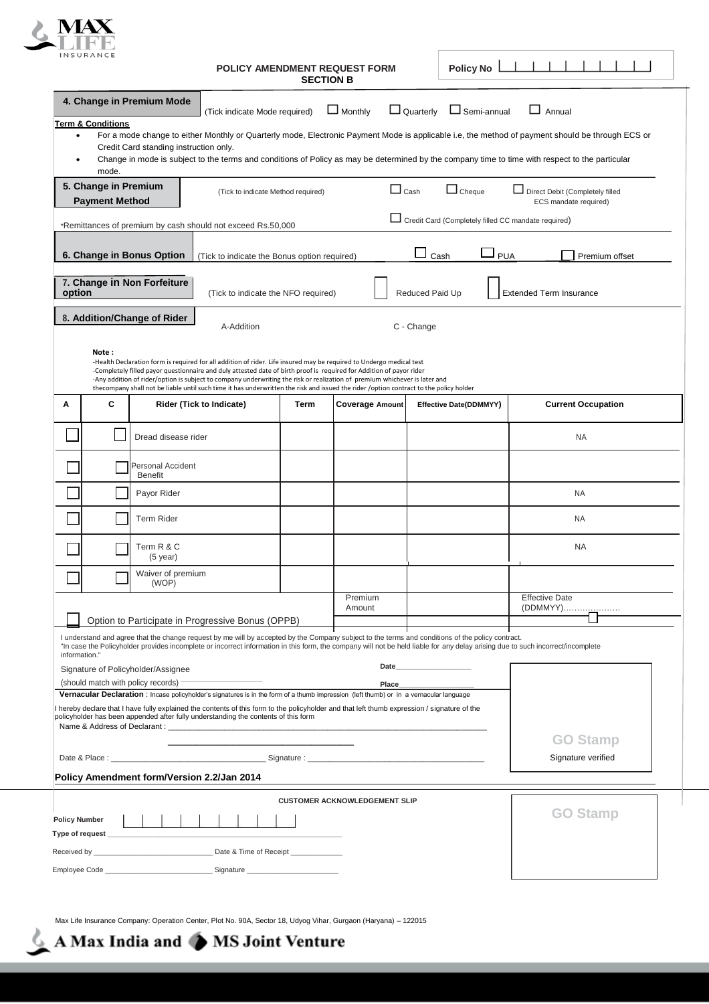

|                      | <b>INSURANCE</b>                              |                                            |                                                                                                                                                                                                                                                                                                                                                                                                                                                                                                                      | <b>SECTION B</b> | POLICY AMENDMENT REQUEST FORM        |                                                                                                                                                                                                                                | <b>Policy No</b>       |                                                                                                                                                                                                                                                                                                     |  |
|----------------------|-----------------------------------------------|--------------------------------------------|----------------------------------------------------------------------------------------------------------------------------------------------------------------------------------------------------------------------------------------------------------------------------------------------------------------------------------------------------------------------------------------------------------------------------------------------------------------------------------------------------------------------|------------------|--------------------------------------|--------------------------------------------------------------------------------------------------------------------------------------------------------------------------------------------------------------------------------|------------------------|-----------------------------------------------------------------------------------------------------------------------------------------------------------------------------------------------------------------------------------------------------------------------------------------------------|--|
|                      |                                               | 4. Change in Premium Mode                  | (Tick indicate Mode required)                                                                                                                                                                                                                                                                                                                                                                                                                                                                                        |                  | $\Box$ Monthly                       | $\Box$ Quarterly                                                                                                                                                                                                               | $\Box$ Semi-annual     | $\Box$ Annual                                                                                                                                                                                                                                                                                       |  |
| $\bullet$            | <b>Term &amp; Conditions</b><br>mode.         | Credit Card standing instruction only.     |                                                                                                                                                                                                                                                                                                                                                                                                                                                                                                                      |                  |                                      |                                                                                                                                                                                                                                |                        | For a mode change to either Monthly or Quarterly mode, Electronic Payment Mode is applicable i.e, the method of payment should be through ECS or<br>Change in mode is subject to the terms and conditions of Policy as may be determined by the company time to time with respect to the particular |  |
|                      | 5. Change in Premium<br><b>Payment Method</b> |                                            | (Tick to indicate Method required)                                                                                                                                                                                                                                                                                                                                                                                                                                                                                   |                  | $\Box$ Cash                          |                                                                                                                                                                                                                                | $\Box$ Cheque          | Direct Debit (Completely filled<br>ECS mandate required)                                                                                                                                                                                                                                            |  |
|                      |                                               |                                            | *Remittances of premium by cash should not exceed Rs.50,000                                                                                                                                                                                                                                                                                                                                                                                                                                                          |                  |                                      |                                                                                                                                                                                                                                |                        | Credit Card (Completely filled CC mandate required)                                                                                                                                                                                                                                                 |  |
|                      |                                               | 6. Change in Bonus Option                  | (Tick to indicate the Bonus option required)                                                                                                                                                                                                                                                                                                                                                                                                                                                                         |                  |                                      | Cash                                                                                                                                                                                                                           | <b>PUA</b>             | Premium offset                                                                                                                                                                                                                                                                                      |  |
| option               |                                               | 7. Change in Non Forfeiture                | (Tick to indicate the NFO required)                                                                                                                                                                                                                                                                                                                                                                                                                                                                                  |                  |                                      | Reduced Paid Up                                                                                                                                                                                                                |                        | <b>Extended Term Insurance</b>                                                                                                                                                                                                                                                                      |  |
|                      |                                               | 8. Addition/Change of Rider                | A-Addition                                                                                                                                                                                                                                                                                                                                                                                                                                                                                                           |                  |                                      | C - Change                                                                                                                                                                                                                     |                        |                                                                                                                                                                                                                                                                                                     |  |
|                      | Note:                                         |                                            | -Health Declaration form is required for all addition of rider. Life insured may be required to Undergo medical test<br>-Completely filled payor questionnaire and duly attested date of birth proof is required for Addition of payor rider<br>-Any addition of rider/option is subject to company underwriting the risk or realization of premium whichever is later and<br>thecompany shall not be liable until such time it has underwritten the risk and issued the rider /option contract to the policy holder |                  |                                      |                                                                                                                                                                                                                                |                        |                                                                                                                                                                                                                                                                                                     |  |
| Α                    | С                                             |                                            | Rider (Tick to Indicate)                                                                                                                                                                                                                                                                                                                                                                                                                                                                                             | Term             | <b>Coverage Amount</b>               |                                                                                                                                                                                                                                | Effective Date(DDMMYY) | <b>Current Occupation</b>                                                                                                                                                                                                                                                                           |  |
|                      |                                               | Dread disease rider                        |                                                                                                                                                                                                                                                                                                                                                                                                                                                                                                                      |                  |                                      |                                                                                                                                                                                                                                |                        | <b>NA</b>                                                                                                                                                                                                                                                                                           |  |
|                      |                                               | <b>Personal Accident</b><br><b>Benefit</b> |                                                                                                                                                                                                                                                                                                                                                                                                                                                                                                                      |                  |                                      |                                                                                                                                                                                                                                |                        |                                                                                                                                                                                                                                                                                                     |  |
|                      |                                               | Payor Rider                                |                                                                                                                                                                                                                                                                                                                                                                                                                                                                                                                      |                  |                                      |                                                                                                                                                                                                                                |                        | <b>NA</b>                                                                                                                                                                                                                                                                                           |  |
|                      |                                               | <b>Term Rider</b>                          |                                                                                                                                                                                                                                                                                                                                                                                                                                                                                                                      |                  |                                      |                                                                                                                                                                                                                                |                        | NA                                                                                                                                                                                                                                                                                                  |  |
|                      |                                               | Term R & C<br>$(5$ year)                   |                                                                                                                                                                                                                                                                                                                                                                                                                                                                                                                      |                  |                                      |                                                                                                                                                                                                                                |                        | <b>NA</b>                                                                                                                                                                                                                                                                                           |  |
|                      |                                               | Waiver of premium<br>(WOP)                 |                                                                                                                                                                                                                                                                                                                                                                                                                                                                                                                      |                  |                                      |                                                                                                                                                                                                                                |                        |                                                                                                                                                                                                                                                                                                     |  |
|                      |                                               |                                            |                                                                                                                                                                                                                                                                                                                                                                                                                                                                                                                      |                  | Premium<br>Amount                    |                                                                                                                                                                                                                                |                        | <b>Effective Date</b><br>(DDMMYY) <u></u>                                                                                                                                                                                                                                                           |  |
|                      |                                               |                                            | Option to Participate in Progressive Bonus (OPPB)<br>I understand and agree that the change request by me will by accepted by the Company subject to the terms and conditions of the policy contract.                                                                                                                                                                                                                                                                                                                |                  |                                      |                                                                                                                                                                                                                                |                        | "In case the Policyholder provides incomplete or incorrect information in this form, the company will not be held liable for any delay arising due to such incorrect/incomplete                                                                                                                     |  |
| information."        |                                               | Signature of Policyholder/Assignee         |                                                                                                                                                                                                                                                                                                                                                                                                                                                                                                                      |                  |                                      | Date and the contract of the contract of the contract of the contract of the contract of the contract of the contract of the contract of the contract of the contract of the contract of the contract of the contract of the c |                        |                                                                                                                                                                                                                                                                                                     |  |
|                      |                                               | (should match with policy records) -       |                                                                                                                                                                                                                                                                                                                                                                                                                                                                                                                      |                  | Place                                |                                                                                                                                                                                                                                |                        |                                                                                                                                                                                                                                                                                                     |  |
|                      |                                               |                                            | Vernacular Declaration : Incase policyholder's signatures is in the form of a thumb impression (left thumb) or in a vernacular language<br>hereby declare that I have fully explained the contents of this form to the policyholder and that left thumb expression / signature of the<br>policyholder has been appended after fully understanding the contents of this form                                                                                                                                          |                  |                                      |                                                                                                                                                                                                                                |                        |                                                                                                                                                                                                                                                                                                     |  |
|                      |                                               |                                            |                                                                                                                                                                                                                                                                                                                                                                                                                                                                                                                      |                  |                                      |                                                                                                                                                                                                                                |                        | <b>GO Stamp</b>                                                                                                                                                                                                                                                                                     |  |
|                      |                                               | Policy Amendment form/Version 2.2/Jan 2014 |                                                                                                                                                                                                                                                                                                                                                                                                                                                                                                                      |                  |                                      |                                                                                                                                                                                                                                |                        | Signature verified                                                                                                                                                                                                                                                                                  |  |
|                      |                                               |                                            |                                                                                                                                                                                                                                                                                                                                                                                                                                                                                                                      |                  | <b>CUSTOMER ACKNOWLEDGEMENT SLIP</b> |                                                                                                                                                                                                                                |                        |                                                                                                                                                                                                                                                                                                     |  |
| <b>Policy Number</b> |                                               |                                            |                                                                                                                                                                                                                                                                                                                                                                                                                                                                                                                      |                  |                                      |                                                                                                                                                                                                                                |                        | <b>GO Stamp</b>                                                                                                                                                                                                                                                                                     |  |
|                      | Type of request ______________                |                                            |                                                                                                                                                                                                                                                                                                                                                                                                                                                                                                                      |                  |                                      |                                                                                                                                                                                                                                |                        |                                                                                                                                                                                                                                                                                                     |  |
|                      |                                               |                                            |                                                                                                                                                                                                                                                                                                                                                                                                                                                                                                                      |                  |                                      |                                                                                                                                                                                                                                |                        |                                                                                                                                                                                                                                                                                                     |  |

Max Life Insurance Company: Operation Center, Plot No. 90A, Sector 18, Udyog Vihar, Gurgaon (Haryana) – 122015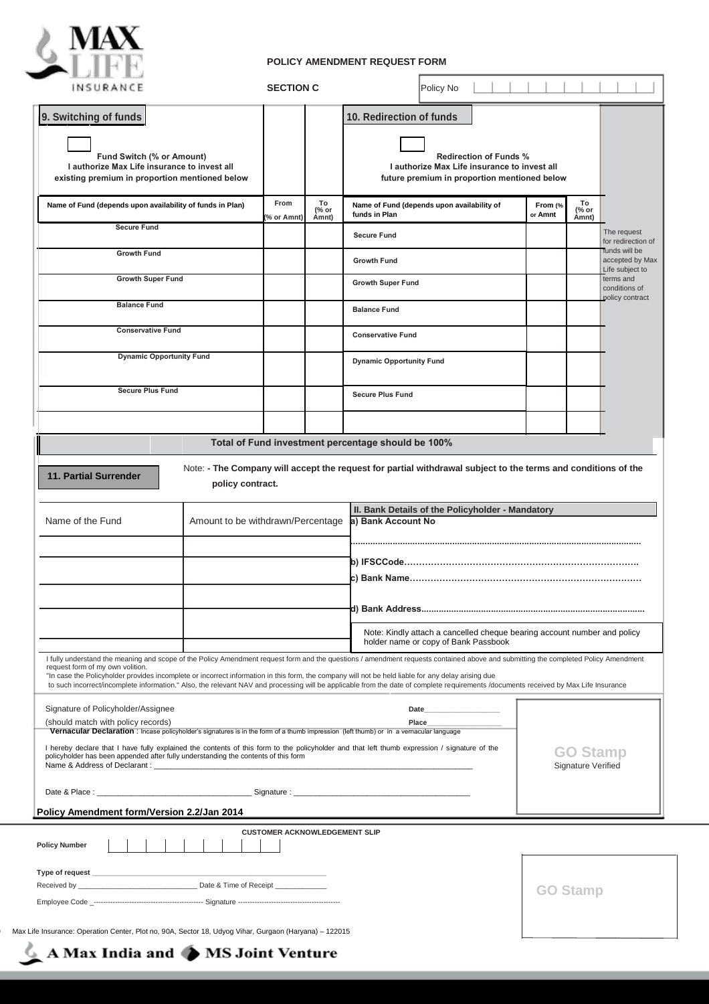

## **POLICY AMENDMENT REQUEST FORM**

| INSURANCE                                                                                                                                                                                                                                               |                                   | <b>SECTION C</b>                     |                      | Policy No                                                                                                                                                                                                                                                                                                                                                                                                                                                                                                                        |                    |                                       |                                               |
|---------------------------------------------------------------------------------------------------------------------------------------------------------------------------------------------------------------------------------------------------------|-----------------------------------|--------------------------------------|----------------------|----------------------------------------------------------------------------------------------------------------------------------------------------------------------------------------------------------------------------------------------------------------------------------------------------------------------------------------------------------------------------------------------------------------------------------------------------------------------------------------------------------------------------------|--------------------|---------------------------------------|-----------------------------------------------|
| 9. Switching of funds<br>Fund Switch (% or Amount)<br>I authorize Max Life insurance to invest all<br>existing premium in proportion mentioned below                                                                                                    |                                   |                                      |                      | 10. Redirection of funds<br><b>Redirection of Funds %</b><br>I authorize Max Life insurance to invest all<br>future premium in proportion mentioned below                                                                                                                                                                                                                                                                                                                                                                        |                    |                                       |                                               |
| Name of Fund (depends upon availability of funds in Plan)                                                                                                                                                                                               |                                   | From<br>(% or Amnt)                  | To<br>(% or<br>Amnt) | Name of Fund (depends upon availability of<br>funds in Plan                                                                                                                                                                                                                                                                                                                                                                                                                                                                      | From (%<br>or Amnt | To<br>(% or<br>Åmnt)                  |                                               |
| <b>Secure Fund</b>                                                                                                                                                                                                                                      |                                   |                                      |                      | <b>Secure Fund</b>                                                                                                                                                                                                                                                                                                                                                                                                                                                                                                               |                    |                                       | The request<br>for redirection of             |
| <b>Growth Fund</b>                                                                                                                                                                                                                                      |                                   |                                      |                      | <b>Growth Fund</b>                                                                                                                                                                                                                                                                                                                                                                                                                                                                                                               |                    |                                       | funds will be<br>accepted by Max              |
| <b>Growth Super Fund</b>                                                                                                                                                                                                                                |                                   |                                      |                      | <b>Growth Super Fund</b>                                                                                                                                                                                                                                                                                                                                                                                                                                                                                                         |                    |                                       | Life subject to<br>terms and<br>conditions of |
| <b>Balance Fund</b>                                                                                                                                                                                                                                     |                                   |                                      |                      | <b>Balance Fund</b>                                                                                                                                                                                                                                                                                                                                                                                                                                                                                                              |                    |                                       | policy contract                               |
| <b>Conservative Fund</b>                                                                                                                                                                                                                                |                                   |                                      |                      |                                                                                                                                                                                                                                                                                                                                                                                                                                                                                                                                  |                    |                                       |                                               |
|                                                                                                                                                                                                                                                         |                                   |                                      |                      | <b>Conservative Fund</b>                                                                                                                                                                                                                                                                                                                                                                                                                                                                                                         |                    |                                       |                                               |
| <b>Dynamic Opportunity Fund</b>                                                                                                                                                                                                                         |                                   |                                      |                      | <b>Dynamic Opportunity Fund</b>                                                                                                                                                                                                                                                                                                                                                                                                                                                                                                  |                    |                                       |                                               |
| <b>Secure Plus Fund</b>                                                                                                                                                                                                                                 |                                   |                                      |                      | <b>Secure Plus Fund</b>                                                                                                                                                                                                                                                                                                                                                                                                                                                                                                          |                    |                                       |                                               |
|                                                                                                                                                                                                                                                         |                                   |                                      |                      |                                                                                                                                                                                                                                                                                                                                                                                                                                                                                                                                  |                    |                                       |                                               |
|                                                                                                                                                                                                                                                         |                                   |                                      |                      | Total of Fund investment percentage should be 100%                                                                                                                                                                                                                                                                                                                                                                                                                                                                               |                    |                                       |                                               |
|                                                                                                                                                                                                                                                         | policy contract.                  |                                      |                      | Note: - The Company will accept the request for partial withdrawal subject to the terms and conditions of the<br>II. Bank Details of the Policyholder - Mandatory                                                                                                                                                                                                                                                                                                                                                                |                    |                                       |                                               |
| 11. Partial Surrender<br>Name of the Fund                                                                                                                                                                                                               | Amount to be withdrawn/Percentage |                                      |                      | a) Bank Account No                                                                                                                                                                                                                                                                                                                                                                                                                                                                                                               |                    |                                       |                                               |
|                                                                                                                                                                                                                                                         |                                   |                                      |                      |                                                                                                                                                                                                                                                                                                                                                                                                                                                                                                                                  |                    |                                       |                                               |
|                                                                                                                                                                                                                                                         |                                   |                                      |                      |                                                                                                                                                                                                                                                                                                                                                                                                                                                                                                                                  |                    |                                       |                                               |
|                                                                                                                                                                                                                                                         |                                   |                                      |                      |                                                                                                                                                                                                                                                                                                                                                                                                                                                                                                                                  |                    |                                       |                                               |
|                                                                                                                                                                                                                                                         |                                   |                                      |                      | d) Bank Address<br>Note: Kindly attach a cancelled cheque bearing account number and policy                                                                                                                                                                                                                                                                                                                                                                                                                                      |                    |                                       |                                               |
|                                                                                                                                                                                                                                                         |                                   |                                      |                      | holder name or copy of Bank Passbook                                                                                                                                                                                                                                                                                                                                                                                                                                                                                             |                    |                                       |                                               |
|                                                                                                                                                                                                                                                         |                                   |                                      |                      | I fully understand the meaning and scope of the Policy Amendment request form and the questions / amendment requests contained above and submitting the completed Policy Amendment<br>"In case the Policyholder provides incomplete or incorrect information in this form, the company will not be held liable for any delay arising due<br>to such incorrect/incomplete information." Also, the relevant NAV and processing will be applicable from the date of complete requirements /documents received by Max Life Insurance |                    |                                       |                                               |
| request form of my own volition.<br>Signature of Policyholder/Assignee<br>(should match with policy records)<br>Vernacular Declaration : Incase policyholder's signatures is in the form of a thumb impression (left thumb) or in a vernacular language |                                   |                                      |                      | Date<br>Place                                                                                                                                                                                                                                                                                                                                                                                                                                                                                                                    |                    |                                       |                                               |
| policyholder has been appended after fully understanding the contents of this form                                                                                                                                                                      |                                   |                                      |                      | I hereby declare that I have fully explained the contents of this form to the policyholder and that left thumb expression / signature of the                                                                                                                                                                                                                                                                                                                                                                                     |                    | <b>GO Stamp</b><br>Signature Verified |                                               |
|                                                                                                                                                                                                                                                         |                                   |                                      |                      |                                                                                                                                                                                                                                                                                                                                                                                                                                                                                                                                  |                    |                                       |                                               |
| Policy Amendment form/Version 2.2/Jan 2014                                                                                                                                                                                                              |                                   |                                      |                      |                                                                                                                                                                                                                                                                                                                                                                                                                                                                                                                                  |                    |                                       |                                               |
| <b>Policy Number</b>                                                                                                                                                                                                                                    |                                   | <b>CUSTOMER ACKNOWLEDGEMENT SLIP</b> |                      |                                                                                                                                                                                                                                                                                                                                                                                                                                                                                                                                  |                    |                                       |                                               |
|                                                                                                                                                                                                                                                         |                                   |                                      |                      |                                                                                                                                                                                                                                                                                                                                                                                                                                                                                                                                  |                    |                                       |                                               |
|                                                                                                                                                                                                                                                         |                                   |                                      |                      |                                                                                                                                                                                                                                                                                                                                                                                                                                                                                                                                  |                    | <b>GO Stamp</b>                       |                                               |

Max India and ● MS Joint Venture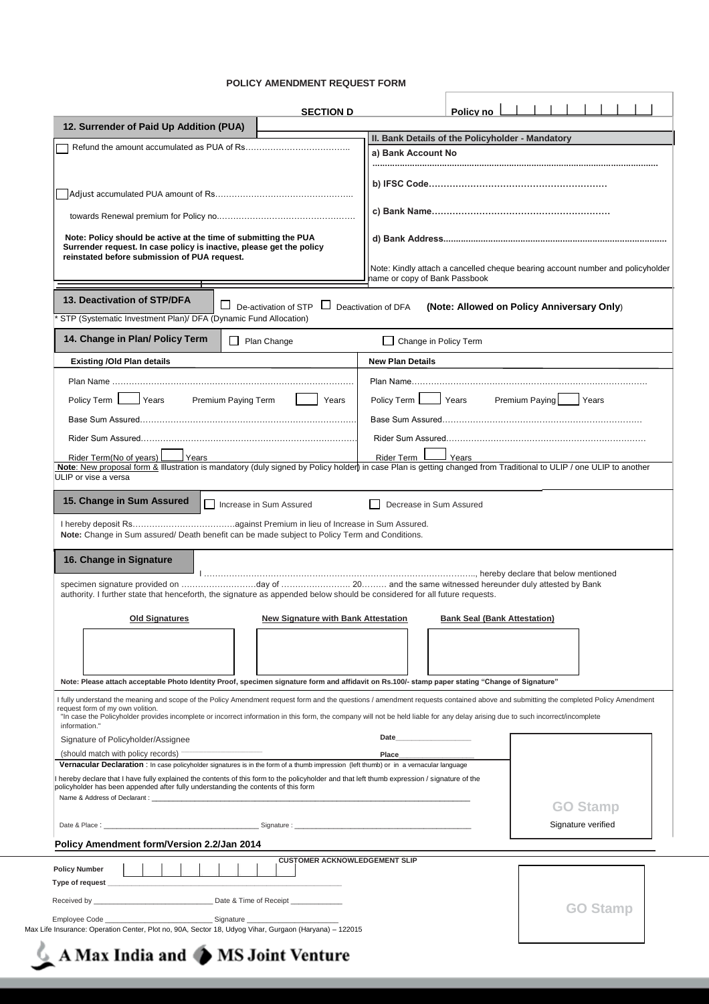#### **POLICY AMENDMENT REQUEST FORM**

|                                                                                                                                                                                                                                                                                                                                                                                                                            | <b>SECTION D</b>                           | Policy no                                                              |                                                                                |
|----------------------------------------------------------------------------------------------------------------------------------------------------------------------------------------------------------------------------------------------------------------------------------------------------------------------------------------------------------------------------------------------------------------------------|--------------------------------------------|------------------------------------------------------------------------|--------------------------------------------------------------------------------|
| 12. Surrender of Paid Up Addition (PUA)                                                                                                                                                                                                                                                                                                                                                                                    |                                            |                                                                        |                                                                                |
|                                                                                                                                                                                                                                                                                                                                                                                                                            |                                            | II. Bank Details of the Policyholder - Mandatory<br>a) Bank Account No |                                                                                |
|                                                                                                                                                                                                                                                                                                                                                                                                                            |                                            |                                                                        |                                                                                |
|                                                                                                                                                                                                                                                                                                                                                                                                                            |                                            |                                                                        |                                                                                |
|                                                                                                                                                                                                                                                                                                                                                                                                                            |                                            |                                                                        |                                                                                |
|                                                                                                                                                                                                                                                                                                                                                                                                                            |                                            |                                                                        |                                                                                |
| Note: Policy should be active at the time of submitting the PUA<br>Surrender request. In case policy is inactive, please get the policy                                                                                                                                                                                                                                                                                    |                                            |                                                                        |                                                                                |
| reinstated before submission of PUA request.                                                                                                                                                                                                                                                                                                                                                                               |                                            | hame or copy of Bank Passbook                                          | Note: Kindly attach a cancelled cheque bearing account number and policyholder |
| 13. Deactivation of STP/DFA                                                                                                                                                                                                                                                                                                                                                                                                |                                            |                                                                        |                                                                                |
| STP (Systematic Investment Plan)/ DFA (Dynamic Fund Allocation)                                                                                                                                                                                                                                                                                                                                                            | $\Box$ De-activation of STP $\Box$         | Deactivation of DFA                                                    | (Note: Allowed on Policy Anniversary Only)                                     |
| 14. Change in Plan/ Policy Term                                                                                                                                                                                                                                                                                                                                                                                            |                                            |                                                                        |                                                                                |
|                                                                                                                                                                                                                                                                                                                                                                                                                            | $\Box$ Plan Change                         | Change in Policy Term                                                  |                                                                                |
| <b>Existing /Old Plan details</b>                                                                                                                                                                                                                                                                                                                                                                                          |                                            | <b>New Plan Details</b>                                                |                                                                                |
|                                                                                                                                                                                                                                                                                                                                                                                                                            |                                            |                                                                        |                                                                                |
| Policy Term<br>Years                                                                                                                                                                                                                                                                                                                                                                                                       | Premium Paying Term<br>Years               | Years<br>Policy Term                                                   | Premium Paying<br>Years                                                        |
|                                                                                                                                                                                                                                                                                                                                                                                                                            |                                            |                                                                        |                                                                                |
|                                                                                                                                                                                                                                                                                                                                                                                                                            |                                            |                                                                        |                                                                                |
| Rider Term(No of years)<br>Years<br>Note: New proposal form & Illustration is mandatory (duly signed by Policy holder) in case Plan is getting changed from Traditional to ULIP / one ULIP to another                                                                                                                                                                                                                      |                                            | Rider Term<br>Years                                                    |                                                                                |
| specimen signature provided on day of  and the same witnessed hereunder duly attested by Bank<br>authority. I further state that henceforth, the signature as appended below should be considered for all future requests.<br><b>Old Signatures</b>                                                                                                                                                                        | <b>New Signature with Bank Attestation</b> | <b>Bank Seal (Bank Attestation)</b>                                    |                                                                                |
|                                                                                                                                                                                                                                                                                                                                                                                                                            |                                            |                                                                        |                                                                                |
| Note: Please attach acceptable Photo Identity Proof, specimen signature form and affidavit on Rs.100/- stamp paper stating "Change of Signature"                                                                                                                                                                                                                                                                           |                                            |                                                                        |                                                                                |
| I fully understand the meaning and scope of the Policy Amendment request form and the questions / amendment requests contained above and submitting the completed Policy Amendment<br>request form of my own volition.<br>"In case the Policyholder provides incomplete or incorrect information in this form, the company will not be held liable for any delay arising due to such incorrect/incomplete<br>information." |                                            |                                                                        |                                                                                |
| Signature of Policyholder/Assignee                                                                                                                                                                                                                                                                                                                                                                                         |                                            | Date                                                                   |                                                                                |
| (should match with policy records) -<br>Vernacular Declaration : In case policyholder signatures is in the form of a thumb impression (left thumb) or in a vernacular language                                                                                                                                                                                                                                             |                                            | Place                                                                  |                                                                                |
| hereby declare that I have fully explained the contents of this form to the policyholder and that left thumb expression / signature of the                                                                                                                                                                                                                                                                                 |                                            |                                                                        |                                                                                |
| policyholder has been appended after fully understanding the contents of this form                                                                                                                                                                                                                                                                                                                                         |                                            |                                                                        |                                                                                |
|                                                                                                                                                                                                                                                                                                                                                                                                                            |                                            |                                                                        | <b>GO Stamp</b>                                                                |
| Date & Place: Signature : Signature : Signature : Signature : Signature : Signature : Signature : Signature : Signature : Signature : Signature : Signature : Signature : Signature : Signature : Signature : Signature : Sign                                                                                                                                                                                             |                                            |                                                                        | Signature verified                                                             |
| Policy Amendment form/Version 2.2/Jan 2014                                                                                                                                                                                                                                                                                                                                                                                 | <b>CUSTOMER ACKNOWLEDGEMENT SLIP</b>       |                                                                        |                                                                                |
| <b>Policy Number</b>                                                                                                                                                                                                                                                                                                                                                                                                       |                                            |                                                                        |                                                                                |
|                                                                                                                                                                                                                                                                                                                                                                                                                            |                                            |                                                                        |                                                                                |
|                                                                                                                                                                                                                                                                                                                                                                                                                            |                                            |                                                                        | <b>GO Stamp</b>                                                                |
| Max Life Insurance: Operation Center, Plot no, 90A, Sector 18, Udyog Vihar, Gurgaon (Haryana) - 122015                                                                                                                                                                                                                                                                                                                     |                                            |                                                                        |                                                                                |
|                                                                                                                                                                                                                                                                                                                                                                                                                            |                                            |                                                                        |                                                                                |

# $\triangle$  A Max India and  $\triangle$  MS Joint Venture